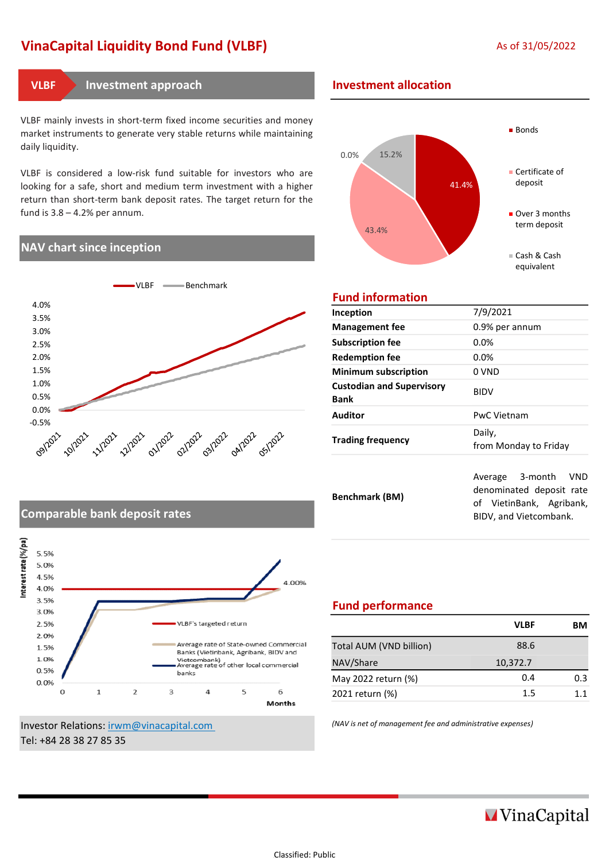# VinaCapital Liquidity Bond Fund (VLBF) As of 31/05/2022

VLBF mainly invests in short-term fixed income securities and money market instruments to generate very stable returns while maintaining daily liquidity.

VLBF is considered a low-risk fund suitable for investors who are looking for a safe, short and medium term investment with a higher return than short-term bank deposit rates. The target return for the fund is 3.8 – 4.2% per annum.

#### NAV chart since inception



#### Investment approach VLBF Investment allocation



### Fund information

| Inception                                       | 7/9/2021                                                                                                        |  |  |
|-------------------------------------------------|-----------------------------------------------------------------------------------------------------------------|--|--|
| <b>Management fee</b>                           | 0.9% per annum                                                                                                  |  |  |
| <b>Subscription fee</b>                         | 0.0%                                                                                                            |  |  |
| <b>Redemption fee</b>                           | $0.0\%$                                                                                                         |  |  |
| <b>Minimum subscription</b>                     | 0 VND                                                                                                           |  |  |
| <b>Custodian and Supervisory</b><br><b>Bank</b> | <b>BIDV</b>                                                                                                     |  |  |
| Auditor                                         | <b>PwC Vietnam</b>                                                                                              |  |  |
| <b>Trading frequency</b>                        | Daily,<br>from Monday to Friday                                                                                 |  |  |
| <b>Benchmark (BM)</b>                           | Average 3-month<br><b>VND</b><br>denominated deposit rate<br>of VietinBank, Agribank,<br>BIDV, and Vietcombank. |  |  |

## Comparable bank deposit rates



Investor Relations: irwm@vinacapital.com (NAV is net of management fee and administrative expenses) Tel: +84 28 38 27 85 35

### Fund performance

| <b>VLBF</b> | RМ  |
|-------------|-----|
| 88.6        |     |
| 10,372.7    |     |
| 0.4         | 0.3 |
| 1.5         | 11  |
|             |     |

**MVinaCapital**